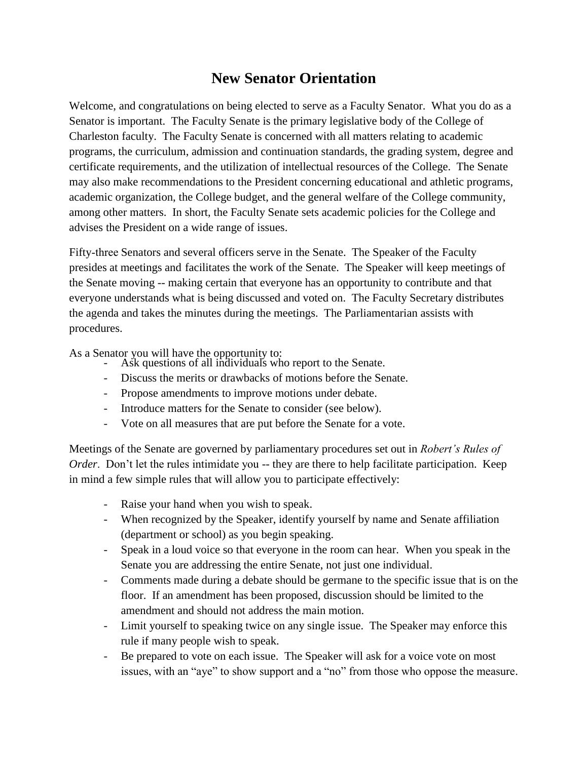## **New Senator Orientation**

Welcome, and congratulations on being elected to serve as a Faculty Senator. What you do as a Senator is important. The Faculty Senate is the primary legislative body of the College of Charleston faculty. The Faculty Senate is concerned with all matters relating to academic programs, the curriculum, admission and continuation standards, the grading system, degree and certificate requirements, and the utilization of intellectual resources of the College. The Senate may also make recommendations to the President concerning educational and athletic programs, academic organization, the College budget, and the general welfare of the College community, among other matters. In short, the Faculty Senate sets academic policies for the College and advises the President on a wide range of issues.

Fifty-three Senators and several officers serve in the Senate. The Speaker of the Faculty presides at meetings and facilitates the work of the Senate. The Speaker will keep meetings of the Senate moving -- making certain that everyone has an opportunity to contribute and that everyone understands what is being discussed and voted on. The Faculty Secretary distributes the agenda and takes the minutes during the meetings. The Parliamentarian assists with procedures.

As a Senator you will have the opportunity to:

- Ask questions of all individuals who report to the Senate.
- Discuss the merits or drawbacks of motions before the Senate.
- Propose amendments to improve motions under debate.
- Introduce matters for the Senate to consider (see below).
- Vote on all measures that are put before the Senate for a vote.

Meetings of the Senate are governed by parliamentary procedures set out in *Robert's Rules of Order*. Don't let the rules intimidate you -- they are there to help facilitate participation. Keep in mind a few simple rules that will allow you to participate effectively:

- Raise your hand when you wish to speak.
- When recognized by the Speaker, identify yourself by name and Senate affiliation (department or school) as you begin speaking.
- Speak in a loud voice so that everyone in the room can hear. When you speak in the Senate you are addressing the entire Senate, not just one individual.
- Comments made during a debate should be germane to the specific issue that is on the floor. If an amendment has been proposed, discussion should be limited to the amendment and should not address the main motion.
- Limit yourself to speaking twice on any single issue. The Speaker may enforce this rule if many people wish to speak.
- Be prepared to vote on each issue. The Speaker will ask for a voice vote on most issues, with an "aye" to show support and a "no" from those who oppose the measure.